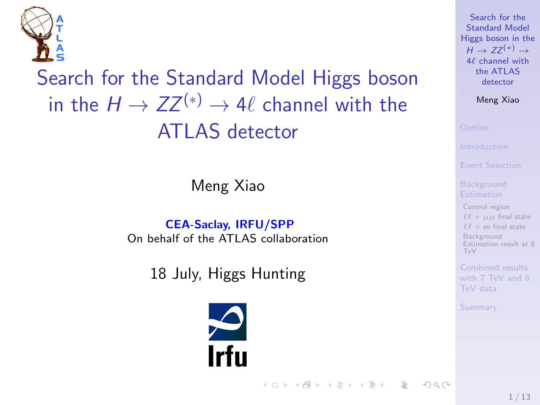

Search for the Standard Model Higgs boson in the  $H \to ZZ^{(*)} \to 4\ell$  channel with the ATLAS detector

Meng Xiao

CEA-Saclay, IRFU/SPP On behalf of the ATLAS collaboration

18 July, Higgs Hunting



Search for the Standard Model [Higgs boson in the](#page-12-0)  $H \to ZZ^{(*)} \to$  $4\ell$  channel with the ATLAS detector

Meng Xiao

[Control region](#page-4-0)  $\ell \ell + \mu \mu$  [final state](#page-5-0)  $\ell\ell$  + ee [final state](#page-6-0) **Background** [Estimation result at 8](#page-7-0) TeV

TeV data

[Summary](#page-9-0)

<span id="page-0-0"></span> $QQ$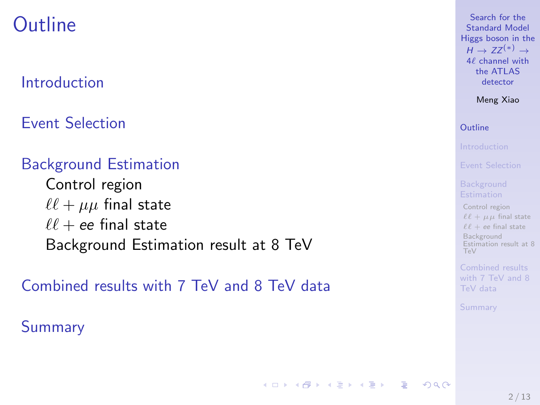# **Outline**

## [Introduction](#page-2-0)

[Event Selection](#page-3-0)

## [Background Estimation](#page-4-0)

[Control region](#page-4-0)  $\ell \ell + \mu \mu$  [final state](#page-5-0)  $\ell\ell$  + ee [final state](#page-6-0) [Background Estimation result at 8 TeV](#page-7-0)

[Combined results with 7 TeV and 8 TeV data](#page-8-0)

**[Summary](#page-9-0)** 

Search for the Standard Model [Higgs boson in the](#page-0-0)  $H \to ZZ^{(*)} \to$  $4\ell$  channel with the ATLAS detector

Meng Xiao

### [Outline](#page-1-0)

[Control region](#page-4-0)  $\ell \ell + \mu \mu$  [final state](#page-5-0)  $\ell \ell + ee$  [final state](#page-6-0) **Background** [Estimation result at 8](#page-7-0)  $TaV$ 

<span id="page-1-0"></span>TeV data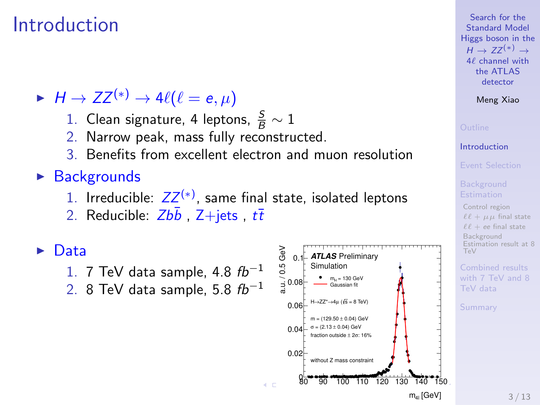## Introduction

 $H \to ZZ^{(*)} \to 4\ell(\ell = e, \mu)$ 

- 1. Clean signature, 4 leptons,  $\frac{S}{B} \sim 1$
- 2. Narrow peak, mass fully reconstructed.
- 3. Benefits from excellent electron and muon resolution

## $\triangleright$  Backgrounds

- 1. Irreducible:  $ZZ^{(*)}$ , same final state, isolated leptons
- 2. Reducible:  $Zb\bar{b}$ ,  $Z+jets$ ,  $t\bar{t}$

### $\blacktriangleright$  Data

- 1. 7 TeV data sample, 4.8  $fb^{-1}$
- 2. 8 TeV data sample, 5.8  $fb^{-1}$



Search for the Standard Model [Higgs boson in the](#page-0-0)  $H \to ZZ^{(*)} \to$  $4\ell$  channel with the ATLAS detector

### Meng Xiao

### [Introduction](#page-2-0)

[Control region](#page-4-0)  $\ell \ell + \mu \mu$  [final state](#page-5-0)  $\ell \ell + ee$  [final state](#page-6-0) Background [Estimation result at 8](#page-7-0) TeV

<span id="page-2-0"></span>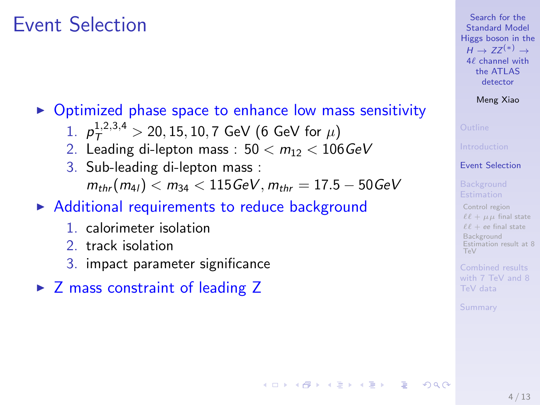## Event Selection

## $\triangleright$  Optimized phase space to enhance low mass sensitivity

- 1.  $p_T^{1,2,3,4} > 20, 15, 10, 7$  GeV (6 GeV for  $\mu$ )
- 2. Leading di-lepton mass :  $50 < m_{12} < 106 \text{GeV}$
- 3. Sub-leading di-lepton mass :  $m_{thr}(m_{41}) < m_{34} < 115 \text{ GeV}, m_{thr} = 17.5 - 50 \text{ GeV}$

## $\triangleright$  Additional requirements to reduce background

- 1. calorimeter isolation
- 2. track isolation
- 3. impact parameter significance
- $\triangleright$  Z mass constraint of leading Z

### Search for the Standard Model [Higgs boson in the](#page-0-0)  $H \to ZZ^{(*)} \to$  $4\ell$  channel with the ATLAS detector

### Meng Xiao

### [Event Selection](#page-3-0)

[Control region](#page-4-0)  $\ell \ell + \mu \mu$  [final state](#page-5-0)  $\ell\ell$  + ee [final state](#page-6-0) Background [Estimation result at 8](#page-7-0) TeV

[Summary](#page-9-0)

<span id="page-3-0"></span> $200$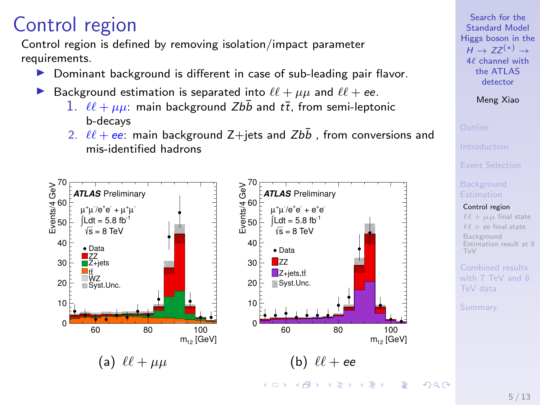# Control region

Control region is defined by removing isolation/impact parameter requirements.

- Dominant background is different in case of sub-leading pair flavor.
- Background estimation is separated into  $\ell \ell + \mu \mu$  and  $\ell \ell + e$ .
	- 1.  $\ell \ell + \mu \mu$ : main background Zbb and  $t\bar{t}$ , from semi-leptonic b-decays
	- 2.  $\ell\ell + ee$ : main background Z+jets and Zbb , from conversions and mis-identified hadrons



Search for the Standard Model [Higgs boson in the](#page-0-0)  $H \to ZZ^{(*)} \to$  $4\ell$  channel with the ATLAS detector

Meng Xiao

[Control region](#page-4-0)  $\ell \ell + \mu \mu$  [final state](#page-5-0)  $f \ell + e e$  [final state](#page-6-0) Background [Estimation result at 8](#page-7-0) TeV

<span id="page-4-0"></span>TeV data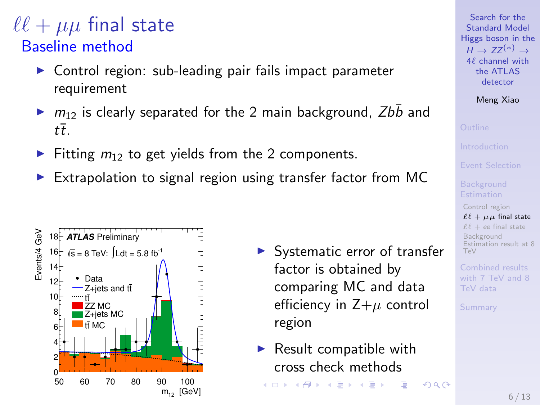## $\ell\ell + \mu\mu$  final state Baseline method

- $\triangleright$  Control region: sub-leading pair fails impact parameter requirement
- $\triangleright$   $m_{12}$  is clearly separated for the 2 main background, Zbb and  $t\overline{t}$ .
- Fitting  $m_{12}$  to get yields from the 2 components.
- $\triangleright$  Extrapolation to signal region using transfer factor from MC



- $\blacktriangleright$  Systematic error of transfer factor is obtained by comparing MC and data efficiency in  $Z+\mu$  control region
- $\blacktriangleright$  Result compatible with cross check methods  $($   $\Box$   $)$   $($   $\Box$   $)$   $($   $\Box$   $)$   $($   $\Box$   $)$   $($   $\Box$   $)$   $($   $\Box$   $)$   $($   $\Box$   $)$   $($   $\Box$   $)$   $($   $\Box$   $)$   $($   $\Box$   $)$   $($   $\Box$   $)$   $($   $\Box$   $)$   $($   $\Box$   $)$   $($   $\Box$   $)$   $($   $\Box$   $)$   $($   $\Box$   $)$   $($   $\Box$   $)$

Search for the Standard Model [Higgs boson in the](#page-0-0)  $H \to ZZ^{(*)} \to$  $4\ell$  channel with the ATLAS detector

Meng Xiao

[Control region](#page-4-0)  $\ell \ell + \mu \mu$  [final state](#page-5-0)  $\ell\ell$  + ee [final state](#page-6-0) Background [Estimation result at 8](#page-7-0) TeV

TeV data

[Summary](#page-9-0)

<span id="page-5-0"></span> $QQ$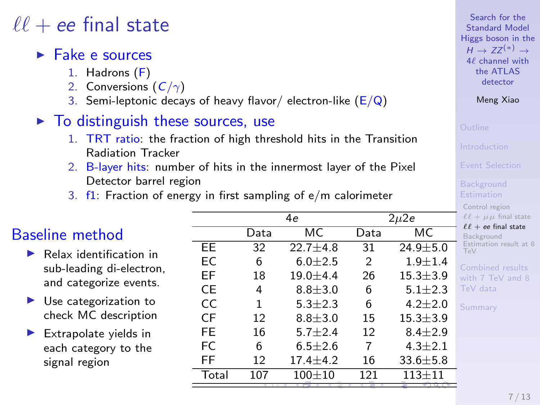## $\ell\ell$  + ee final state

### $\blacktriangleright$  Fake e sources

- 1. Hadrons (F)
- 2. Conversions  $(C/\gamma)$
- 3. Semi-leptonic decays of heavy flavor/ electron-like  $(E/Q)$
- $\triangleright$  To distinguish these sources, use
	- 1. TRT ratio: the fraction of high threshold hits in the Transition Radiation Tracker
	- 2. B-layer hits: number of hits in the innermost layer of the Pixel Detector barrel region
	- 3.  $f1$ : Fraction of energy in first sampling of  $e/m$  calorimeter

## Baseline method

- $\blacktriangleright$  Relax identification in sub-leading di-electron, and categorize events.
- $\blacktriangleright$  Use categorization to check MC description
- $\blacktriangleright$  Extrapolate yields in each category to the signal region

|       | 4e   |                | $2\mu$ 2e |                |                        |
|-------|------|----------------|-----------|----------------|------------------------|
|       | Data | МC             | Data      | МC             | $\ell$<br>B            |
| EE    | 32   | $22.7 + 4.8$   | 31        | $24.9 + 5.0$   | Ē<br>T                 |
| EC    | 6    | $6.0 + 2.5$    | 2         | $1.9 + 1.4$    | C <sub>0</sub>         |
| EF    | 18   | $19.0 + 4.4$   | 26        | $15.3 \pm 3.9$ | wi                     |
| СE    | 4    | $8.8 + 3.0$    | 6         | $5.1 \pm 2.3$  | Tε                     |
| CC    | 1    | $5.3 \pm 2.3$  | 6         | $4.2 \pm 2.0$  | $\mathsf{S}\mathsf{t}$ |
| CF    | 12   | $8.8 + 3.0$    | 15        | $15.3 \pm 3.9$ |                        |
| FE    | 16   | $5.7 + 2.4$    | 12        | $8.4 + 2.9$    |                        |
| FC    | 6    | $6.5 + 2.6$    | 7         | $4.3 \pm 2.1$  |                        |
| FF    | 12   | $17.4 \pm 4.2$ | 16        | $33.6 \pm 5.8$ |                        |
| Total | 107  | $100 + 10$     | 121       | $113 + 11$     |                        |
|       |      |                |           |                |                        |

Search for the Standard Model [Higgs boson in the](#page-0-0)  $H \rightarrow 77^{(*)} \rightarrow$  $4\ell$  channel with the ATLAS detector

Meng Xiao

ontrol region  $x^2 + \mu\mu$  [final state](#page-5-0)

 $\ell +$  ee [final state](#page-6-0)

ackground stimation result at 8 TeV

<span id="page-6-0"></span>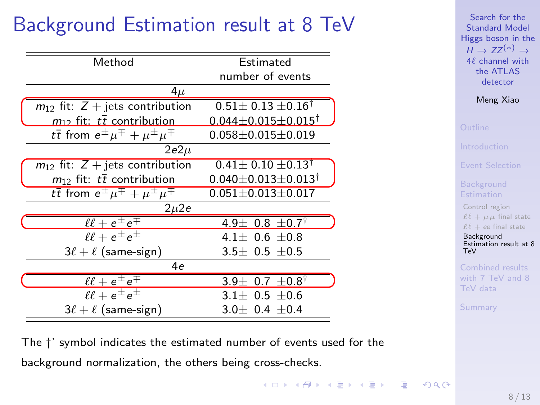# Background Estimation result at 8 TeV

| Method                                                    | Estimated                             |  |
|-----------------------------------------------------------|---------------------------------------|--|
|                                                           | number of events                      |  |
| $4\mu$                                                    |                                       |  |
| $m_{12}$ fit: $Z + \text{jets}$ contribution              | $0.51 \pm 0.13 \pm 0.16^{\dagger}$    |  |
| $m_1$ , fit: $t\bar{t}$ contribution                      | $0.044 + 0.015 + 0.015$ <sup>†</sup>  |  |
| $t\bar{t}$ from $e^{\pm} \mu^{\mp} + \mu^{\pm} \mu^{\mp}$ | $0.058 \pm 0.015 \pm 0.019$           |  |
| $2e2\mu$                                                  |                                       |  |
| $m_{12}$ fit: $Z +$ jets contribution                     | $0.41 \pm 0.10 \pm 0.13^{\dagger}$    |  |
| $m_{12}$ fit: $t\overline{t}$ contribution                | $0.040 \pm 0.013 \pm 0.013^{\dagger}$ |  |
| $t\bar{t}$ from $e^{\pm} \mu^{\mp} + \mu^{\pm} \mu^{\mp}$ | $0.051 \pm 0.013 \pm 0.017$           |  |
| $2\mu$ 2e                                                 |                                       |  |
| $\ell\ell + e^{\pm}e^{\mp}$                               | 4.9 ± 0.8 $\pm$ 0.7 <sup>†</sup>      |  |
| $\ell \ell + e^{\pm} e^{\pm}$                             | $4.1 + 0.6 + 0.8$                     |  |
| $3\ell + \ell$ (same-sign)                                | $3.5\pm 0.5 \pm 0.5$                  |  |
| 4e                                                        |                                       |  |
| $\ell\ell + e^{\pm}e^{\mp}$                               | 3.9 $\pm$ 0.7 $\pm$ 0.8 <sup>†</sup>  |  |
| $\ell \ell + e^{\pm} e^{\pm}$                             | $3.1\pm 0.5 \pm 0.6$                  |  |
| $3\ell + \ell$ (same-sign)                                | $3.0 \pm 0.4 \pm 0.4$                 |  |
|                                                           |                                       |  |

Search for the Standard Model [Higgs boson in the](#page-0-0)  $H \to ZZ^{(*)} \to$ 4 $\ell$  channel with the ATLAS detector

Meng Xiao

[Control region](#page-4-0)  $\ell \ell + \mu \mu$  [final state](#page-5-0)  $\ell \ell + ee$  [final state](#page-6-0)

Background [Estimation result at 8](#page-7-0) T<sub>e</sub>V

TeV data

<span id="page-7-0"></span>[Summary](#page-9-0)

The †' symbol indicates the estimated number of events used for the background normalization, the others being cross-checks.

> $\mathbf{A} \oplus \mathbf{B} \rightarrow \mathbf{A} \oplus \mathbf{B} \rightarrow \mathbf{A} \oplus \mathbf{B} \rightarrow \mathbf{A} \oplus \mathbf{B} \rightarrow \mathbf{B} \oplus \mathbf{B} \oplus \mathbf{A} \oplus \mathbf{B} \oplus \mathbf{A} \oplus \mathbf{B} \oplus \mathbf{A} \oplus \mathbf{B} \oplus \mathbf{A} \oplus \mathbf{B} \oplus \mathbf{A} \oplus \mathbf{B} \oplus \mathbf{A} \oplus \mathbf{B} \oplus \mathbf{A} \oplus \mathbf{B} \oplus \mathbf{A} \opl$  $QQ$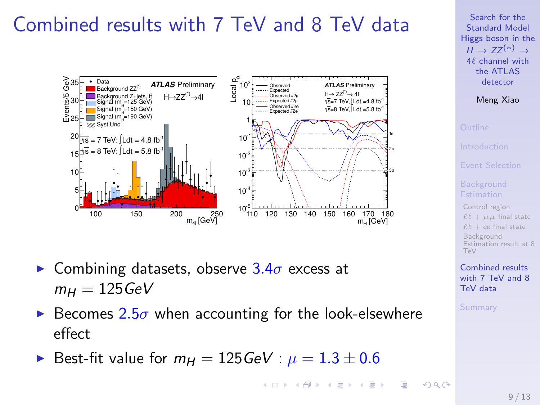# Combined results with 7 TeV and 8 TeV data



- **Combining datasets, observe 3.4** $\sigma$  excess at  $m_H = 125 \text{GeV}$
- Becomes  $2.5\sigma$  when accounting for the look-elsewhere effect
- Best-fit value for  $m_H = 125 \text{GeV}$  :  $\mu = 1.3 \pm 0.6$

Search for the Standard Model [Higgs boson in the](#page-0-0)  $H \to ZZ^{(*)} \to$  $4\ell$  channel with the ATLAS detector

Meng Xiao

[Control region](#page-4-0)  $\ell \ell + \mu \mu$  [final state](#page-5-0)  $\ell\ell$  + ee [final state](#page-6-0) Background [Estimation result at 8](#page-7-0) TeV

<span id="page-8-0"></span>Combined results [with 7 TeV and 8](#page-8-0) TeV data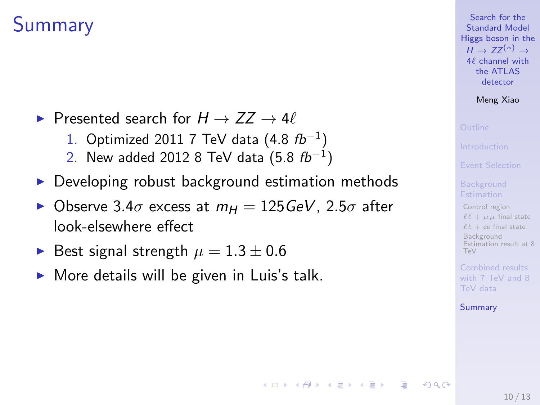# **Summary**

- $\triangleright$  Presented search for  $H \to ZZ \to 4\ell$ 
	- 1. Optimized 2011 7 TeV data  $(4.8 f b^{-1})$
	- 2. New added 2012 8 TeV data  $(5.8 f b^{-1})$
- $\triangleright$  Developing robust background estimation methods
- $\triangleright$  Observe 3.4 $\sigma$  excess at  $m_H = 125 \text{GeV}$ , 2.5 $\sigma$  after look-elsewhere effect

 $A \equiv 1 + 4 \pmod{4} \Rightarrow A \equiv 1 + 4 \pmod{2} \Rightarrow B$ 

- Best signal strength  $\mu = 1.3 \pm 0.6$
- $\triangleright$  More details will be given in Luis's talk.



Meng Xiao

[Control region](#page-4-0)  $\ell \ell + \mu \mu$  [final state](#page-5-0)  $\ell\ell$  + ee [final state](#page-6-0) Background [Estimation result at 8](#page-7-0) TeV

TeV data

[Summary](#page-9-0)

<span id="page-9-0"></span> $200$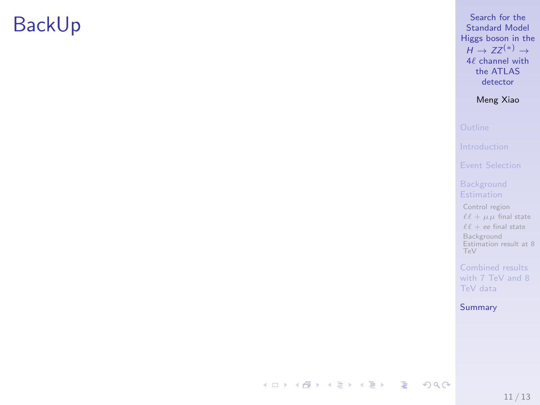# BackUp

Search for the Standard Model [Higgs boson in the](#page-0-0)  $H \rightarrow ZZ^{(*)} \rightarrow$  $4\ell$  channel with the ATLAS detector

Meng Xiao

[Control region](#page-4-0)  $\ell \ell + \mu \mu$  [final state](#page-5-0)  $\ell \ell + e$ e [final state](#page-6-0) Background [Estimation result at 8](#page-7-0) TeV

[with 7 TeV and 8](#page-8-0) TeV data

[Summary](#page-9-0)

メロメ メタメ メミメ メミメー (B)  $299$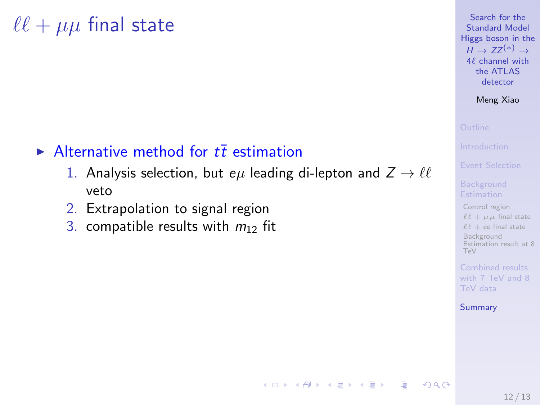# $\ell \ell + \mu \mu$  final state

## Alternative method for  $t\bar{t}$  estimation

- 1. Analysis selection, but  $e\mu$  leading di-lepton and  $Z \rightarrow \ell \ell$ veto
- 2. Extrapolation to signal region
- 3. compatible results with  $m_{12}$  fit

Search for the Standard Model [Higgs boson in the](#page-0-0)  $H \to ZZ^{(*)} \to$ 4 $\ell$  channel with the ATLAS detector

Meng Xiao

[Control region](#page-4-0)  $\ell \ell + \mu \mu$  [final state](#page-5-0)  $\ell \ell + ee$  [final state](#page-6-0) Background [Estimation result at 8](#page-7-0) TeV

TeV data